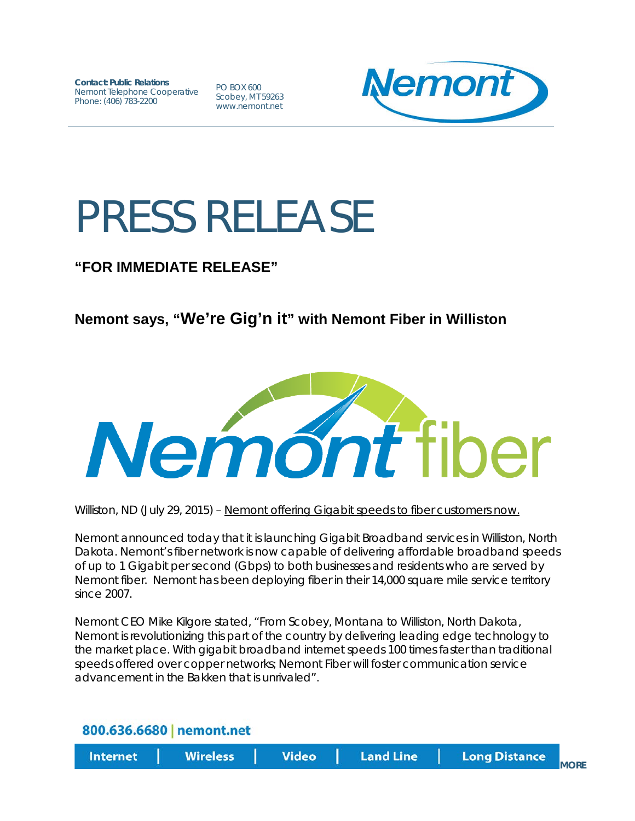**Contact: Public Relations** Nemont Telephone Cooperative Phone: (406) 783-2200

PO BOX 600 Scobey, MT 59263 www.nemont.net



## PRESS RELEASE

## **"FOR IMMEDIATE RELEASE"**

## **Nemont says, "We're Gig'n it" with Nemont Fiber in Williston**



Williston, ND (July 29, 2015) – Nemont offering Gigabit speeds to fiber customers now.

Nemont announced today that it is launching Gigabit Broadband services in Williston, North Dakota. Nemont's fiber network is now capable of delivering affordable broadband speeds of up to 1 Gigabit per second (Gbps) to both businesses and residents who are served by Nemont fiber. Nemont has been deploying fiber in their 14,000 square mile service territory since 2007.

Nemont CEO Mike Kilgore stated, "From Scobey, Montana to Williston, North Dakota, Nemont is revolutionizing this part of the country by delivering leading edge technology to the market place. With gigabit broadband internet speeds 100 times faster than traditional speeds offered over copper networks; Nemont Fiber will foster communication service advancement in the Bakken that is unrivaled".

**Video** 

## 800.636.6680 | nemont.net

**Internet** 

**Wireless** 

**MORF**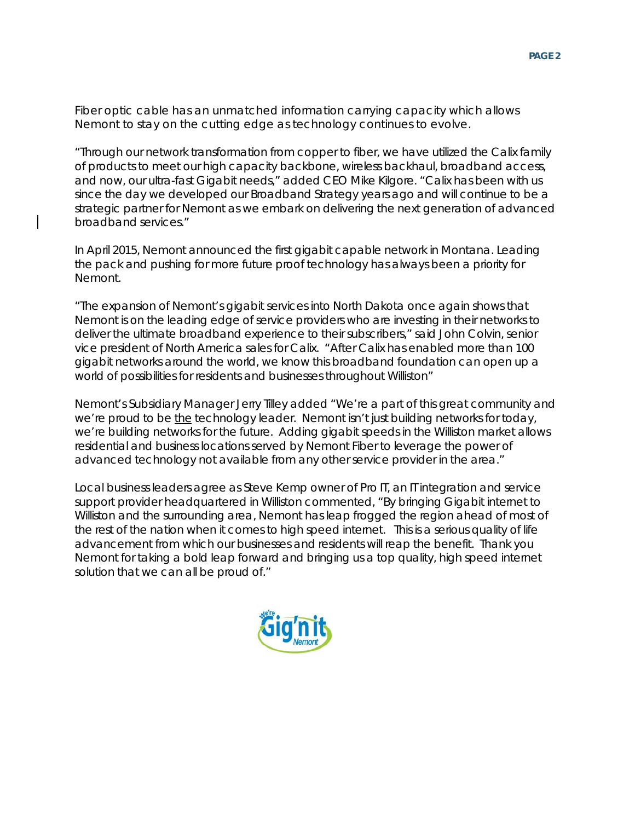Fiber optic cable has an unmatched information carrying capacity which allows Nemont to stay on the cutting edge as technology continues to evolve.

"Through our network transformation from copper to fiber, we have utilized the Calix family of products to meet our high capacity backbone, wireless backhaul, broadband access, and now, our ultra-fast Gigabit needs," added CEO Mike Kilgore. "Calix has been with us since the day we developed our Broadband Strategy years ago and will continue to be a strategic partner for Nemont as we embark on delivering the next generation of advanced broadband services."

In April 2015, Nemont announced the first gigabit capable network in Montana. Leading the pack and pushing for more future proof technology has always been a priority for Nemont.

"The expansion of Nemont's gigabit services into North Dakota once again shows that Nemont is on the leading edge of service providers who are investing in their networks to deliver the ultimate broadband experience to their subscribers," said John Colvin, senior vice president of North America sales for Calix. "After Calix has enabled more than 100 gigabit networks around the world, we know this broadband foundation can open up a world of possibilities for residents and businesses throughout Williston"

Nemont's Subsidiary Manager Jerry Tilley added "We're a part of this great community and we're proud to be the technology leader. Nemont isn't just building networks for today, we're building networks for the future. Adding gigabit speeds in the Williston market allows residential and business locations served by Nemont Fiber to leverage the power of advanced technology not available from any other service provider in the area."

Local business leaders agree as Steve Kemp owner of Pro IT, an IT integration and service support provider headquartered in Williston commented, "By bringing Gigabit internet to Williston and the surrounding area, Nemont has leap frogged the region ahead of most of the rest of the nation when it comes to high speed internet. This is a serious quality of life advancement from which our businesses and residents will reap the benefit. Thank you Nemont for taking a bold leap forward and bringing us a top quality, high speed internet solution that we can all be proud of."